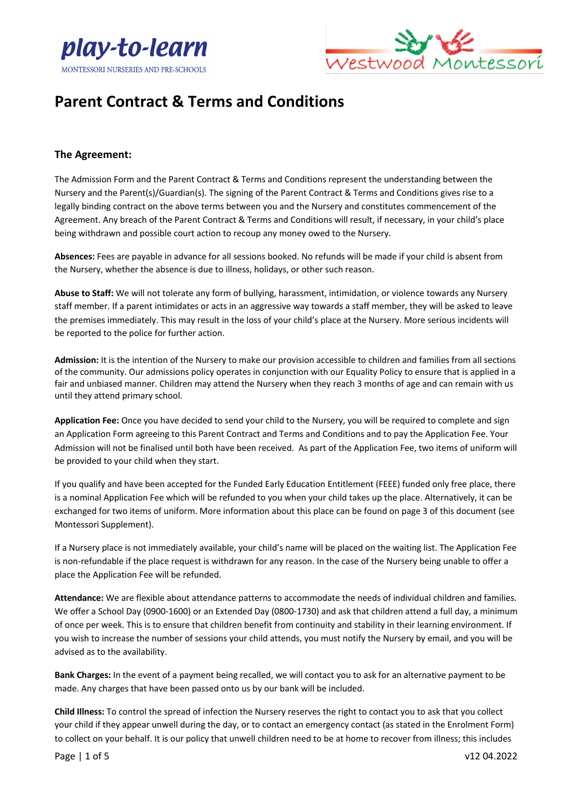



#### **The Agreement:**

The Admission Form and the Parent Contract & Terms and Conditions represent the understanding between the Nursery and the Parent(s)/Guardian(s). The signing of the Parent Contract & Terms and Conditions gives rise to a legally binding contract on the above terms between you and the Nursery and constitutes commencement of the Agreement. Any breach of the Parent Contract & Terms and Conditions will result, if necessary, in your child's place being withdrawn and possible court action to recoup any money owed to the Nursery.

**Absences:** Fees are payable in advance for all sessions booked. No refunds will be made if your child is absent from the Nursery, whether the absence is due to illness, holidays, or other such reason.

**Abuse to Staff:** We will not tolerate any form of bullying, harassment, intimidation, or violence towards any Nursery staff member. If a parent intimidates or acts in an aggressive way towards a staff member, they will be asked to leave the premises immediately. This may result in the loss of your child's place at the Nursery. More serious incidents will be reported to the police for further action.

**Admission:** It is the intention of the Nursery to make our provision accessible to children and families from all sections of the community. Our admissions policy operates in conjunction with our Equality Policy to ensure that is applied in a fair and unbiased manner. Children may attend the Nursery when they reach 3 months of age and can remain with us until they attend primary school.

**Application Fee:** Once you have decided to send your child to the Nursery, you will be required to complete and sign an Application Form agreeing to this Parent Contract and Terms and Conditions and to pay the Application Fee. Your Admission will not be finalised until both have been received. As part of the Application Fee, two items of uniform will be provided to your child when they start.

If you qualify and have been accepted for the Funded Early Education Entitlement (FEEE) funded only free place, there is a nominal Application Fee which will be refunded to you when your child takes up the place. Alternatively, it can be exchanged for two items of uniform. More information about this place can be found on page 3 of this document (see Montessori Supplement).

If a Nursery place is not immediately available, your child's name will be placed on the waiting list. The Application Fee is non-refundable if the place request is withdrawn for any reason. In the case of the Nursery being unable to offer a place the Application Fee will be refunded.

**Attendance:** We are flexible about attendance patterns to accommodate the needs of individual children and families. We offer a School Day (0900-1600) or an Extended Day (0800-1730) and ask that children attend a full day, a minimum of once per week. This is to ensure that children benefit from continuity and stability in their learning environment. If you wish to increase the number of sessions your child attends, you must notify the Nursery by email, and you will be advised as to the availability.

**Bank Charges:** In the event of a payment being recalled, we will contact you to ask for an alternative payment to be made. Any charges that have been passed onto us by our bank will be included.

**Child Illness:** To control the spread of infection the Nursery reserves the right to contact you to ask that you collect your child if they appear unwell during the day, or to contact an emergency contact (as stated in the Enrolment Form) to collect on your behalf. It is our policy that unwell children need to be at home to recover from illness; this includes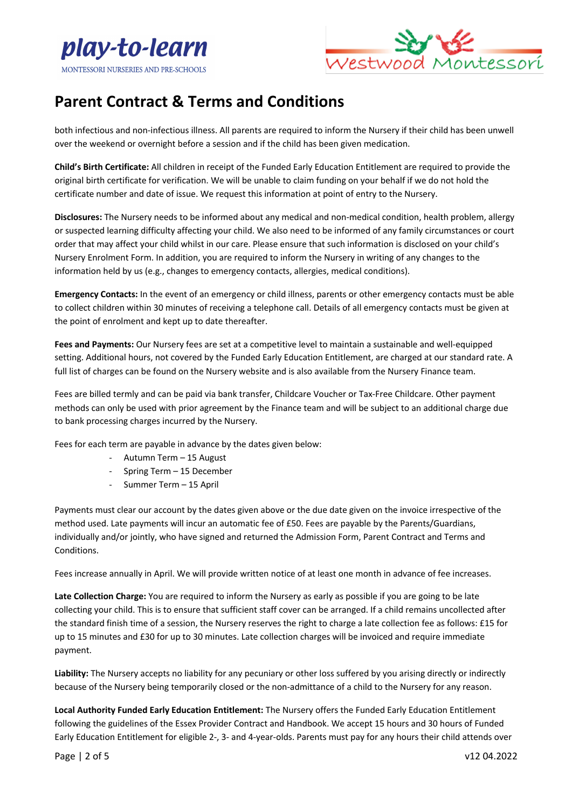



both infectious and non-infectious illness. All parents are required to inform the Nursery if their child has been unwell over the weekend or overnight before a session and if the child has been given medication.

**Child's Birth Certificate:** All children in receipt of the Funded Early Education Entitlement are required to provide the original birth certificate for verification. We will be unable to claim funding on your behalf if we do not hold the certificate number and date of issue. We request this information at point of entry to the Nursery.

**Disclosures:** The Nursery needs to be informed about any medical and non-medical condition, health problem, allergy or suspected learning difficulty affecting your child. We also need to be informed of any family circumstances or court order that may affect your child whilst in our care. Please ensure that such information is disclosed on your child's Nursery Enrolment Form. In addition, you are required to inform the Nursery in writing of any changes to the information held by us (e.g., changes to emergency contacts, allergies, medical conditions).

**Emergency Contacts:** In the event of an emergency or child illness, parents or other emergency contacts must be able to collect children within 30 minutes of receiving a telephone call. Details of all emergency contacts must be given at the point of enrolment and kept up to date thereafter.

**Fees and Payments:** Our Nursery fees are set at a competitive level to maintain a sustainable and well-equipped setting. Additional hours, not covered by the Funded Early Education Entitlement, are charged at our standard rate. A full list of charges can be found on the Nursery website and is also available from the Nursery Finance team.

Fees are billed termly and can be paid via bank transfer, Childcare Voucher or Tax-Free Childcare. Other payment methods can only be used with prior agreement by the Finance team and will be subject to an additional charge due to bank processing charges incurred by the Nursery.

Fees for each term are payable in advance by the dates given below:

- Autumn Term 15 August
- Spring Term 15 December
- Summer Term 15 April

Payments must clear our account by the dates given above or the due date given on the invoice irrespective of the method used. Late payments will incur an automatic fee of £50. Fees are payable by the Parents/Guardians, individually and/or jointly, who have signed and returned the Admission Form, Parent Contract and Terms and Conditions.

Fees increase annually in April. We will provide written notice of at least one month in advance of fee increases.

**Late Collection Charge:** You are required to inform the Nursery as early as possible if you are going to be late collecting your child. This is to ensure that sufficient staff cover can be arranged. If a child remains uncollected after the standard finish time of a session, the Nursery reserves the right to charge a late collection fee as follows: £15 for up to 15 minutes and £30 for up to 30 minutes. Late collection charges will be invoiced and require immediate payment.

**Liability:** The Nursery accepts no liability for any pecuniary or other loss suffered by you arising directly or indirectly because of the Nursery being temporarily closed or the non-admittance of a child to the Nursery for any reason.

**Local Authority Funded Early Education Entitlement:** The Nursery offers the Funded Early Education Entitlement following the guidelines of the Essex Provider Contract and Handbook. We accept 15 hours and 30 hours of Funded Early Education Entitlement for eligible 2-, 3- and 4-year-olds. Parents must pay for any hours their child attends over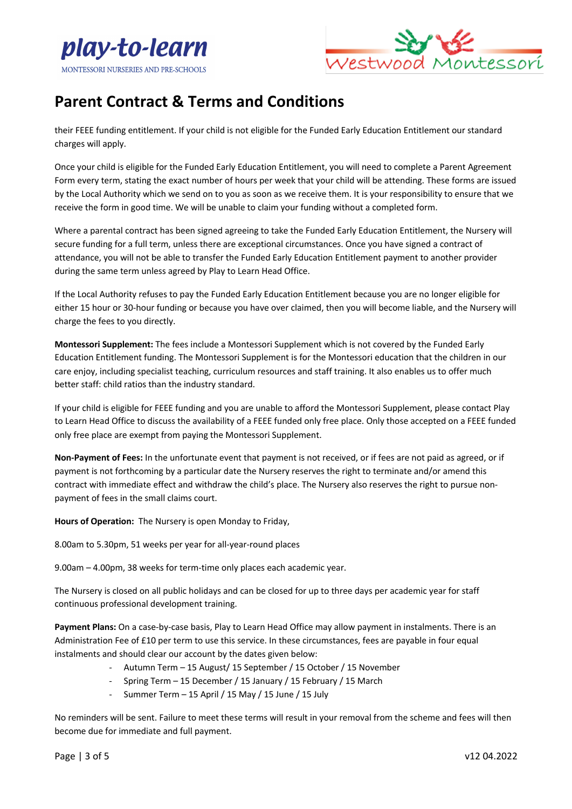



their FEEE funding entitlement. If your child is not eligible for the Funded Early Education Entitlement our standard charges will apply.

Once your child is eligible for the Funded Early Education Entitlement, you will need to complete a Parent Agreement Form every term, stating the exact number of hours per week that your child will be attending. These forms are issued by the Local Authority which we send on to you as soon as we receive them. It is your responsibility to ensure that we receive the form in good time. We will be unable to claim your funding without a completed form.

Where a parental contract has been signed agreeing to take the Funded Early Education Entitlement, the Nursery will secure funding for a full term, unless there are exceptional circumstances. Once you have signed a contract of attendance, you will not be able to transfer the Funded Early Education Entitlement payment to another provider during the same term unless agreed by Play to Learn Head Office.

If the Local Authority refuses to pay the Funded Early Education Entitlement because you are no longer eligible for either 15 hour or 30-hour funding or because you have over claimed, then you will become liable, and the Nursery will charge the fees to you directly.

**Montessori Supplement:** The fees include a Montessori Supplement which is not covered by the Funded Early Education Entitlement funding. The Montessori Supplement is for the Montessori education that the children in our care enjoy, including specialist teaching, curriculum resources and staff training. It also enables us to offer much better staff: child ratios than the industry standard.

If your child is eligible for FEEE funding and you are unable to afford the Montessori Supplement, please contact Play to Learn Head Office to discuss the availability of a FEEE funded only free place. Only those accepted on a FEEE funded only free place are exempt from paying the Montessori Supplement.

**Non-Payment of Fees:** In the unfortunate event that payment is not received, or if fees are not paid as agreed, or if payment is not forthcoming by a particular date the Nursery reserves the right to terminate and/or amend this contract with immediate effect and withdraw the child's place. The Nursery also reserves the right to pursue nonpayment of fees in the small claims court.

**Hours of Operation:** The Nursery is open Monday to Friday,

8.00am to 5.30pm, 51 weeks per year for all-year-round places

9.00am – 4.00pm, 38 weeks for term-time only places each academic year.

The Nursery is closed on all public holidays and can be closed for up to three days per academic year for staff continuous professional development training.

**Payment Plans:** On a case-by-case basis, Play to Learn Head Office may allow payment in instalments. There is an Administration Fee of £10 per term to use this service. In these circumstances, fees are payable in four equal instalments and should clear our account by the dates given below:

- Autumn Term 15 August/ 15 September / 15 October / 15 November
- Spring Term 15 December / 15 January / 15 February / 15 March
- Summer Term 15 April / 15 May / 15 June / 15 July

No reminders will be sent. Failure to meet these terms will result in your removal from the scheme and fees will then become due for immediate and full payment.